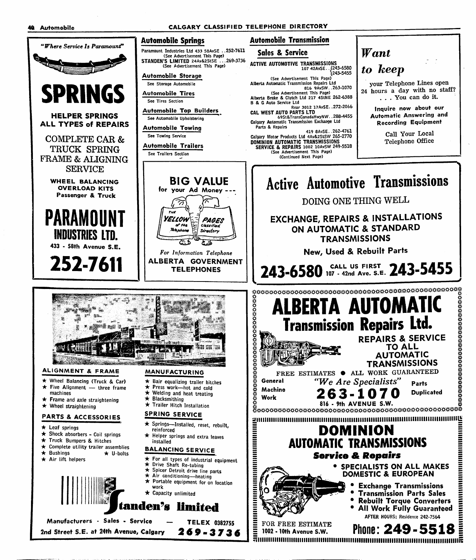

=

=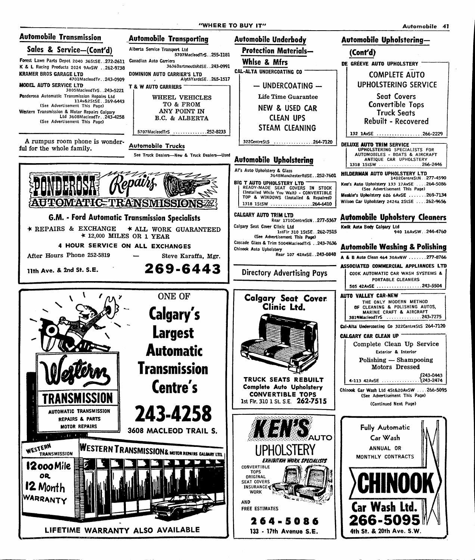"WHERE TO BUY IT" Automobile 41

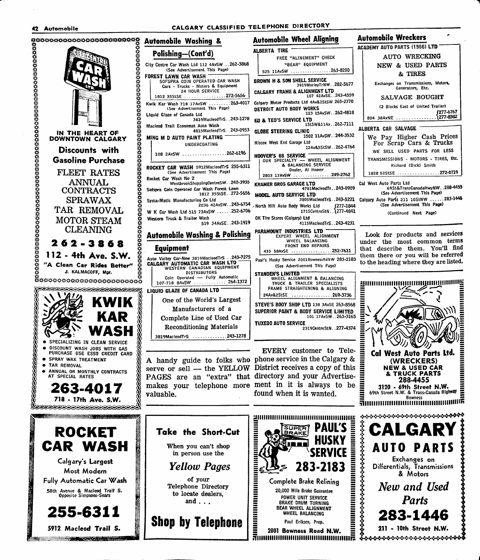## 42 Automobile CALGARY CLASSIFIED TELEPHONE DIRECTORY



## Automobile Washing & Automobile Wheel Aligning Automobile Wreckers City Centre Car Wash Ltd 112 4AvSW . .262-3868 (See Advertisement This Page) SOFSPRA COIN OPERATED CAR WASH Cars - Trucks - Motors & Equipment 24 HOUR SERVICE<br>E ................272-5656 1812 35StSE ..................272-5656 |<br>ik Kar Wash 718 17AvSW .........263-4017 ALBERTA TIRE FREE "ALINEMENT" CHECK "BEAR" EQUIPMENT 525 11AvSW ...................26 (See Advertisement This Page) 3819MacleodTrS. .243-1278 4815MacleodTrS. .243-0953 UNDERCOATING 108 2AvSW .................262-6196 BROWN H & SON SHELL SERVICE 3919MorleyTrNW. CALGARY FRAME & ALIGNMENT LTO 107 42AvSE. Calgary Motor Products Ltd 4Av&2StSW DETROIT AUTO BODY WORKS  $123$   $15$  AvSW. EO & TED'S SERVICE LTD 1StSW&11Av. . GLOBE STEERING CLINIC 1502 11AvSW.. HIscox West End Garage Ltd 12Av&5StSW... HOOVER'S 66 SERVICE<br>| OUR SPECIALTY — WHEEL ALIGNMENT ROCKET CAR WASH 59l2MacIeodTrS 255-6311 (See Advertisement This Page) WestbrookShoppingCentreSW. .242-3935 Sofspra Coin Operated Car Wash Forest Lawn 1812 35StSE. .272-5656 2036 42AvSW. .243-6754 W K Car Wash Ltd 515 73AvSW ......252-6706 519 34AvSE. .243-1919 Automobile Washing & Polishing & BALANCING SERVICE Dealer, Al Hoover 2803 17AvSW ..................24 1715CentreStN... [277-4841 KRAMER BROS GARAGE LTD 4701MacleodTr. MODEL AUTO SERVICE LTD 3805MacleodTrS. ' North Hill Auto Body Works Ltd OK Tire Stores (Calgary) Ltd 4115MacleodTrS.. PARAMOUNT INDUSTRIES LTD EXPERT WHEEL ALIGNMENT WHEEL BALANCING FRONT END REPAIRS 433 58AvSE ..................252-7611 Auto Valley Car-New 3819MacleodTrS . .243-7275 CALGARY AUTOMATIC CAR WASH LTD WESTERN CANADIAN EQUIPMENT DISTRIBUTORS Coin Operated — Fully Automatic<br>718 BAuSW One of the World's Largest Manufacturers of a Complete Line of Used Car Reconditioning Materials 3819MacleodTrS 243-1278 Paul's Husky Service 2001BownessRdNW 283-2183 (See Advertisement This Page) STANDEN'S LIMITED WHEEL ALIGNMENT & BALANCING TRUCK & TRAILER SPECIALISTS FRAME STRAIGHTENING & ALIGNING 24Av&2StSE ...............269-3736 STEVE'S BODY SHOP LTD 138 3AvSE 263-8568 SUPERIOR PAINT & BODY SERVICE LIMITED 101 l7AvSW. .263-3165 TUXEDO AUTO SERVICE 2319CentreStN. .277-4374 EVERY customer to Tele-A handy guide to folks who phone service in the Calgary & serve or sell — the YELLOW District receives a copy of this

PAGES are an "extra" that directory and your Advertisemakes your telephone more ment in it is always to be valuable. The settlement of the state of the state of the valuable.

Ē

Complete Brake Relining<br>
20,000 Mile Brake Guarantee<br>
POWER UNIT SERVICE<br>
BRAKE DRUM TURNING<br>
BEAR WHEEL ALIGNMENT<br>
WHEEL BALANCING<br>
Paul Eriksen, Prop.

SUPER **BRAKE** 

POWER UNIT SERVICE BRAKE DRUM TURNING BEAR WHEEL ALIGNMENT WHEEL BALANCING

Paul Eriksen, Prop. 2001 Bowness Road N.W.

of your

and . . .

| <u>a</u>             |                                                                                           |
|----------------------|-------------------------------------------------------------------------------------------|
|                      | ACADEMY AUTO PARTS (1966) LTD                                                             |
|                      | AUTO WRECKING                                                                             |
|                      | NEW & USED PARTS                                                                          |
| 3-8200               | & TIRES                                                                                   |
| 282-5677             | Exchanges on Transmissions, Motors,<br>Generators, Etc.                                   |
| 243-4559<br>265-2770 | SALVAGE BOUGHT                                                                            |
|                      | (2 Blocks East of United Trailer)                                                         |
| 262-4818             | (277-6767                                                                                 |
| 262-7111             | ALBERTA CAR SALVAGE                                                                       |
| 244-3532             | We Pay Higher Cash Prices<br>For Scrap Cars & Trucks                                      |
| 262-4764             | WE SELL USED PARTS FOR LESS                                                               |
| <b>INMENT</b>        | TRANSMISSIONS - MOTORS - TIRES, Etc.<br>Richard (Dick) Smith                              |
| 49-2762              |                                                                                           |
| 243-0909             | Cal West Auto Parts Ltd<br>69St&TransCanadaHwyNW288-4455<br>(See Advertisement This Page) |
|                      | 243-5221 Calgary Auto Parts 211 10StNW 283-1446                                           |
| (277-1844            | (See Advertisement This Page)                                                             |
| 1277-4841            | (Continued Next Page)                                                                     |
| 243-4231             |                                                                                           |
|                      |                                                                                           |

Look for products and services under the most common terms that describe them. You'll find them there or you will be referred to the heading where they are listed.

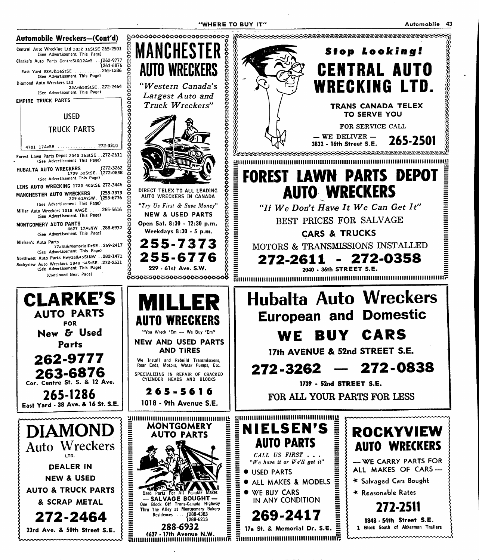

|  $\begin{array}{c}\n 2501 \\
 \hline\n 2501\n \end{array}$ <br>  $\begin{array}{c}\n 1 \\
 4\n \end{array}$ <br>  $\begin{array}{c}\n 1 \\
 2\n \end{array}$ 

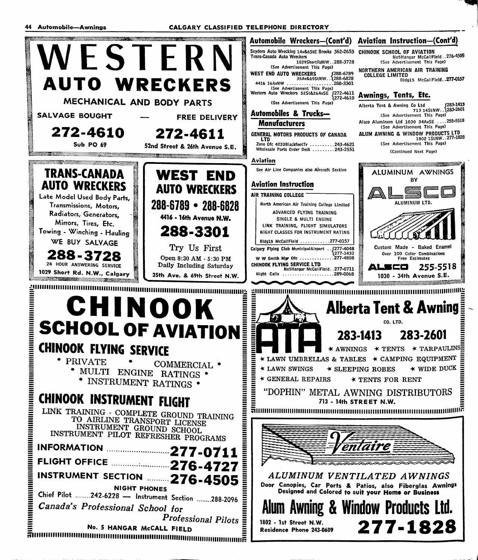